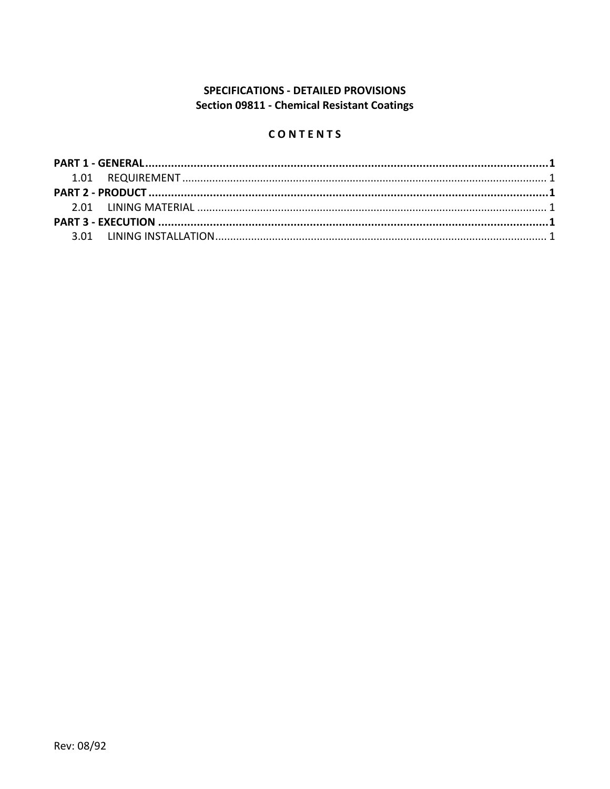# **SPECIFICATIONS - DETAILED PROVISIONS Section 09811 - Chemical Resistant Coatings**

## CONTENTS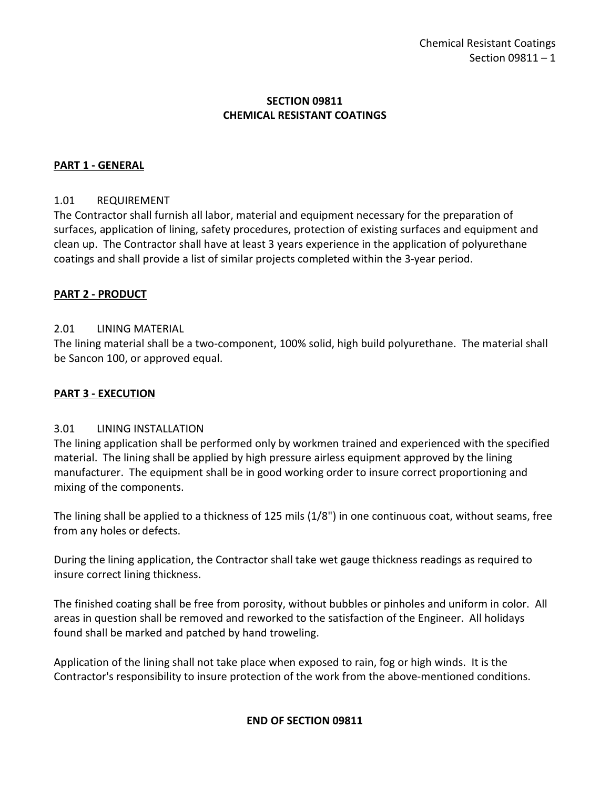### **SECTION 09811 CHEMICAL RESISTANT COATINGS**

### <span id="page-2-0"></span>**PART 1 - GENERAL**

#### <span id="page-2-1"></span>1.01 REQUIREMENT

The Contractor shall furnish all labor, material and equipment necessary for the preparation of surfaces, application of lining, safety procedures, protection of existing surfaces and equipment and clean up. The Contractor shall have at least 3 years experience in the application of polyurethane coatings and shall provide a list of similar projects completed within the 3-year period.

#### <span id="page-2-2"></span>**PART 2 - PRODUCT**

#### <span id="page-2-3"></span>2.01 LINING MATERIAL

The lining material shall be a two-component, 100% solid, high build polyurethane. The material shall be Sancon 100, or approved equal.

#### <span id="page-2-4"></span>**PART 3 - EXECUTION**

#### <span id="page-2-5"></span>3.01 LINING INSTALLATION

The lining application shall be performed only by workmen trained and experienced with the specified material. The lining shall be applied by high pressure airless equipment approved by the lining manufacturer. The equipment shall be in good working order to insure correct proportioning and mixing of the components.

The lining shall be applied to a thickness of 125 mils (1/8") in one continuous coat, without seams, free from any holes or defects.

During the lining application, the Contractor shall take wet gauge thickness readings as required to insure correct lining thickness.

The finished coating shall be free from porosity, without bubbles or pinholes and uniform in color. All areas in question shall be removed and reworked to the satisfaction of the Engineer. All holidays found shall be marked and patched by hand troweling.

Application of the lining shall not take place when exposed to rain, fog or high winds. It is the Contractor's responsibility to insure protection of the work from the above-mentioned conditions.

#### **END OF SECTION 09811**